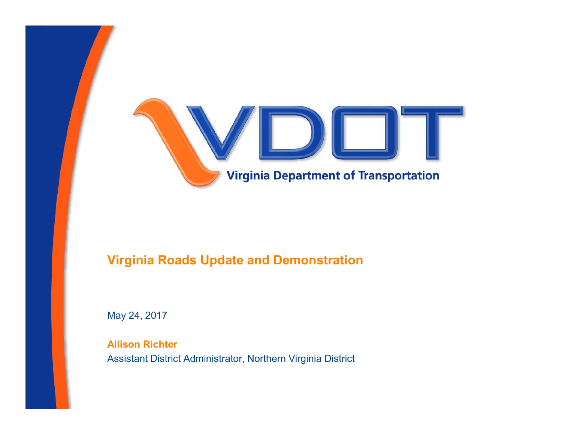

#### Virginia Roads Update and Demonstration

May 24, 2017

Allison Richter Assistant District Administrator, Northern Virginia District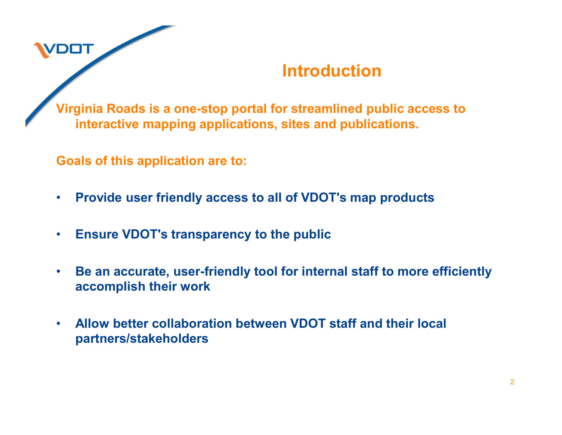

## Introduction

Virginia Roads is a one-stop portal for streamlined public access to interactive mapping applications, sites and publications.

Goals of this application are to:

- Provide user friendly access to all of VDOT's map products
- Ensure VDOT's transparency to the public
- Be an accurate, user-friendly tool for internal staff to more efficiently accomplish their work
- Allow better collaboration between VDOT staff and their local partners/stakeholders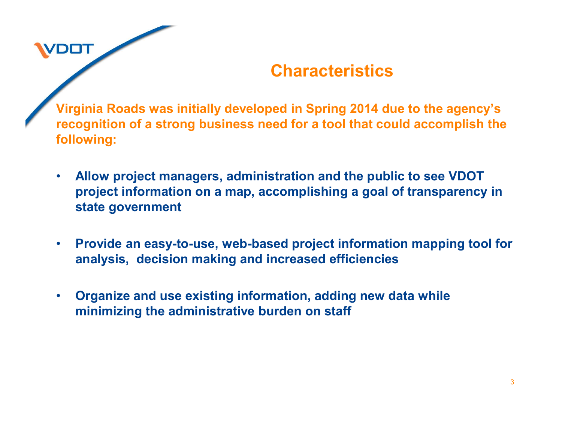# **DOT**

## **Characteristics**

Virginia Roads was initially developed in Spring 2014 due to the agency's recognition of a strong business need for a tool that could accomplish the following:

- Allow project managers, administration and the public to see VDOT project information on a map, accomplishing a goal of transparency in state government
- Provide an easy-to-use, web-based project information mapping tool for analysis, decision making and increased efficiencies
- Organize and use existing information, adding new data while minimizing the administrative burden on staff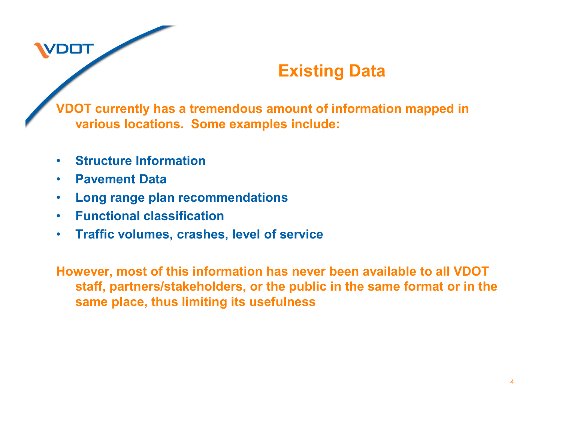## Existing Data

VDOT currently has a tremendous amount of information mapped in various locations. Some examples include:

- Structure Information
- Pavement Data

**/DOT** 

- Long range plan recommendations
- Functional classification
- Traffic volumes, crashes, level of service

However, most of this information has never been available to all VDOT staff, partners/stakeholders, or the public in the same format or in the same place, thus limiting its usefulness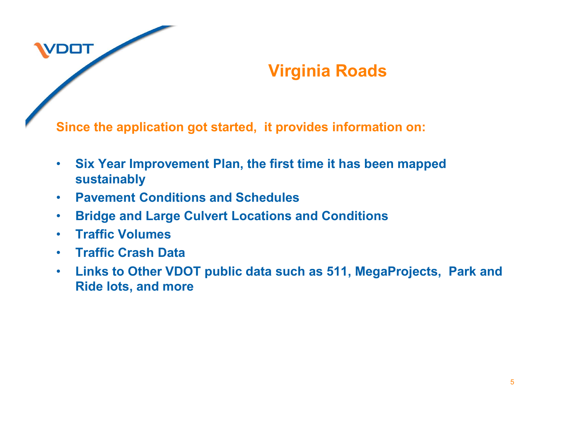## Virginia Roads

Since the application got started, it provides information on:

- Six Year Improvement Plan, the first time it has been mapped sustainably
- Pavement Conditions and Schedules
- Bridge and Large Culvert Locations and Conditions
- Traffic Volumes

**/DOT** 

- Traffic Crash Data
- Links to Other VDOT public data such as 511, MegaProjects, Park and Ride lots, and more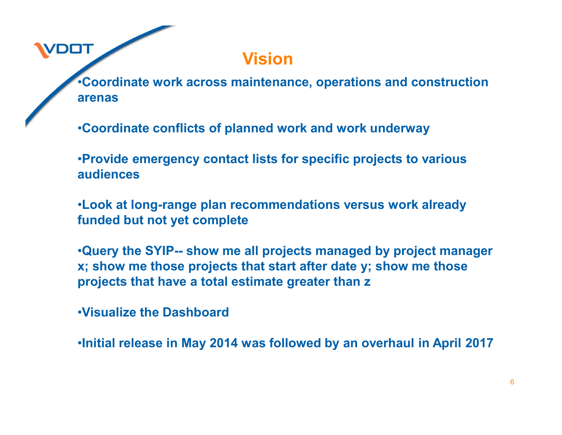Vision

•Coordinate work across maintenance, operations and construction arenas

•Coordinate conflicts of planned work and work underway

•Provide emergency contact lists for specific projects to various audiences

•Look at long-range plan recommendations versus work already funded but not yet complete

•Coordinate work across maintenance, operations and construction<br>•Coordinate conflicts of planned work and work underway<br>•Provide emergency contact lists for specific projects to various<br>•Look at long-range plan recommenda x; show me those projects that start after date y; show me those projects that have a total estimate greater than z

•Visualize the Dashboard

**DOT** 

•Initial release in May 2014 was followed by an overhaul in April 2017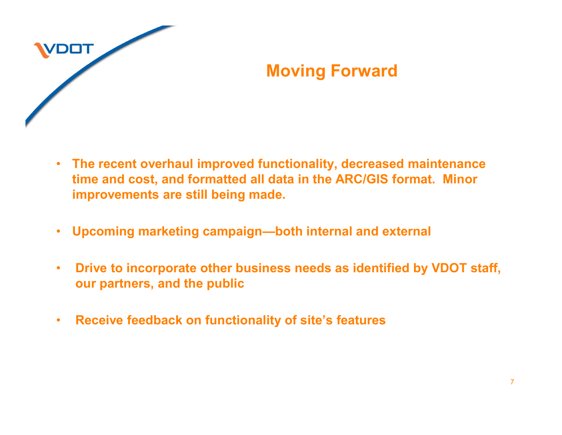

## Moving Forward

- The recent overhaul improved functionality, decreased maintenance time and cost, and formatted all data in the ARC/GIS format. Minor improvements are still being made.
- Upcoming marketing campaign—both internal and external
- Drive to incorporate other business needs as identified by VDOT staff, our partners, and the public
- Receive feedback on functionality of site's features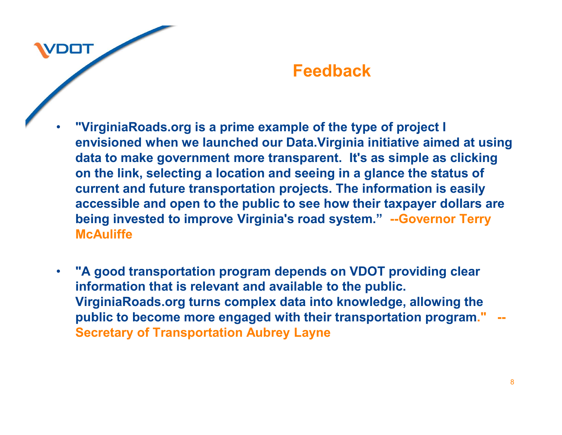#### Feedback

"VirginiaRoads.org is a prime example of the type of project I envisioned when we launched our Data.Virginia initiative aimed at using data to make government more transparent. It's as simple as clicking on the link, selecting a location and seeing in a glance the status of current and future transportation projects. The information is easily accessible and open to the public to see how their taxpayer dollars are being invested to improve Virginia's road system." --Governor Terry **McAuliffe** 

DOT

• "A good transportation program depends on VDOT providing clear information that is relevant and available to the public. VirginiaRoads.org turns complex data into knowledge, allowing the public to become more engaged with their transportation program." --Secretary of Transportation Aubrey Layne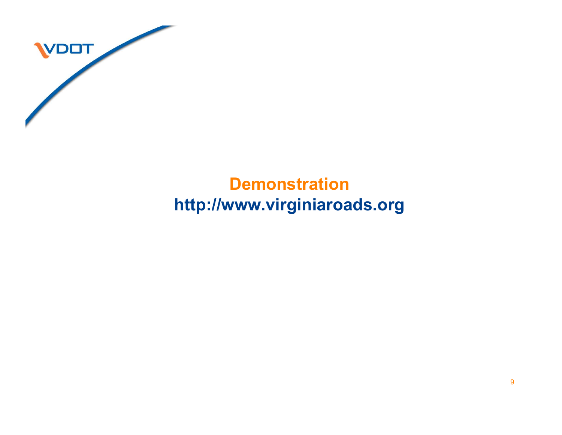

## **Demonstration** http://www.virginiaroads.org